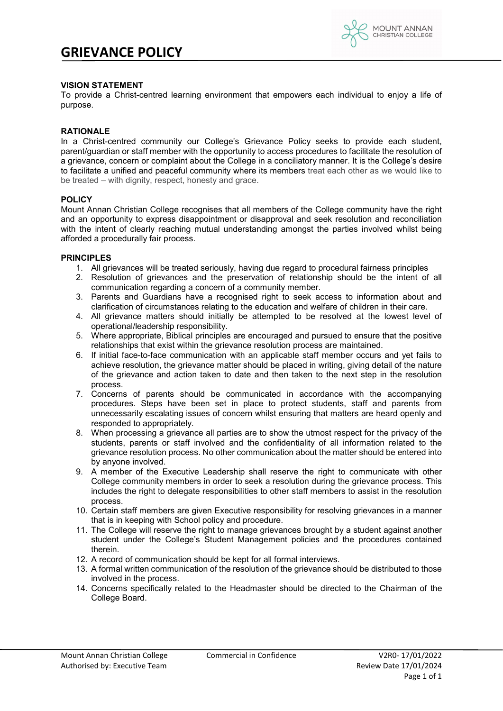

# **VISION STATEMENT**

To provide a Christ-centred learning environment that empowers each individual to enjoy a life of purpose.

### **RATIONALE**

In a Christ-centred community our College's Grievance Policy seeks to provide each student, parent/guardian or staff member with the opportunity to access procedures to facilitate the resolution of a grievance, concern or complaint about the College in a conciliatory manner. It is the College's desire to facilitate a unified and peaceful community where its members treat each other as we would like to be treated – with dignity, respect, honesty and grace.

## **POLICY**

Mount Annan Christian College recognises that all members of the College community have the right and an opportunity to express disappointment or disapproval and seek resolution and reconciliation with the intent of clearly reaching mutual understanding amongst the parties involved whilst being afforded a procedurally fair process.

## **PRINCIPLES**

- 1. All grievances will be treated seriously, having due regard to procedural fairness principles
- 2. Resolution of grievances and the preservation of relationship should be the intent of all communication regarding a concern of a community member.
- 3. Parents and Guardians have a recognised right to seek access to information about and clarification of circumstances relating to the education and welfare of children in their care.
- 4. All grievance matters should initially be attempted to be resolved at the lowest level of operational/leadership responsibility.
- 5. Where appropriate, Biblical principles are encouraged and pursued to ensure that the positive relationships that exist within the grievance resolution process are maintained.
- 6. If initial face-to-face communication with an applicable staff member occurs and yet fails to achieve resolution, the grievance matter should be placed in writing, giving detail of the nature of the grievance and action taken to date and then taken to the next step in the resolution process.
- 7. Concerns of parents should be communicated in accordance with the accompanying procedures. Steps have been set in place to protect students, staff and parents from unnecessarily escalating issues of concern whilst ensuring that matters are heard openly and responded to appropriately.
- 8. When processing a grievance all parties are to show the utmost respect for the privacy of the students, parents or staff involved and the confidentiality of all information related to the grievance resolution process. No other communication about the matter should be entered into by anyone involved.
- 9. A member of the Executive Leadership shall reserve the right to communicate with other College community members in order to seek a resolution during the grievance process. This includes the right to delegate responsibilities to other staff members to assist in the resolution process.
- 10. Certain staff members are given Executive responsibility for resolving grievances in a manner that is in keeping with School policy and procedure.
- 11. The College will reserve the right to manage grievances brought by a student against another student under the College's Student Management policies and the procedures contained therein.
- 12. A record of communication should be kept for all formal interviews.
- 13. A formal written communication of the resolution of the grievance should be distributed to those involved in the process.
- 14. Concerns specifically related to the Headmaster should be directed to the Chairman of the College Board.